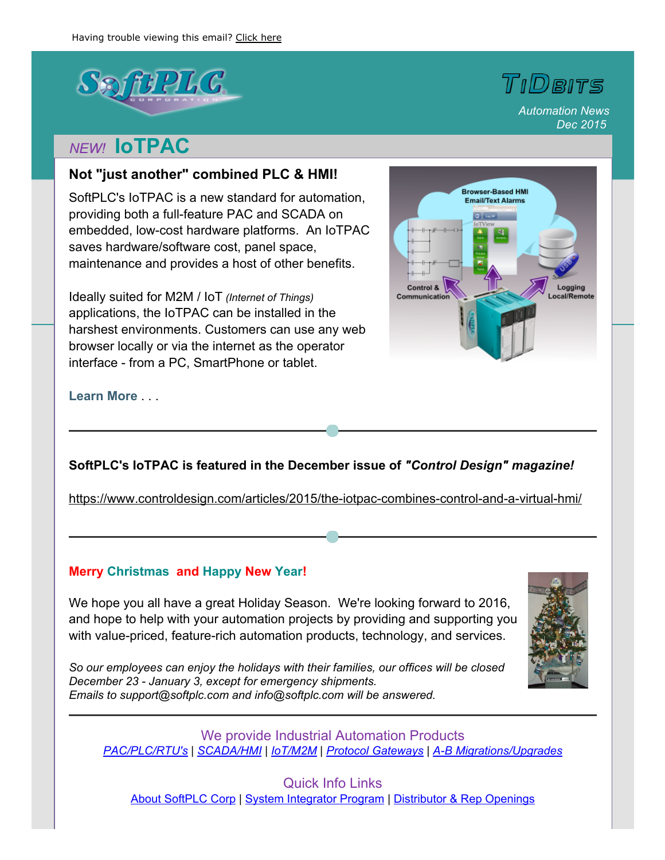

# *NEW!* **IoTPAC**

### **Not "just another" combined PLC & HMI!**

SoftPLC's IoTPAC is a new standard for automation, providing both a full-feature PAC and SCADA on embedded, low-cost hardware platforms. An IoTPAC saves hardware/software cost, panel space, maintenance and provides a host of other benefits.

Ideally suited for M2M / IoT *(Internet of Things)* applications, the IoTPAC can be installed in the harshest environments. Customers can use any web browser locally or via the internet as the operator interface - from a PC, SmartPhone or tablet.



*Automation News*

TIDBITS

*Dec 2015*

**[Learn](http://softplc.com/products/controllers/iotpac/) More** . . .

## **SoftPLC's IoTPAC is featured in the December issue of** *"Control Design" magazine!*

https://www.controldesign.com/articles/2015/the-iotpac-combines-control-and-a-virtual-hmi/

#### **Merry Christmas and Happy New Year!**

We hope you all have a great Holiday Season. We're looking forward to 2016, and hope to help with your automation projects by providing and supporting you with value-priced, feature-rich automation products, technology, and services.

*So our employees can enjoy the holidays with their families, our offices will be closed December 23 January 3, except for emergency shipments. Emails to support@softplc.com and info@softplc.com will be answered.*



We provide Industrial Automation Products *[PAC/PLC/RTU's](http://softplc.com/products/controllers/) | [SCADA/HMI](http://softplc.com/products/opinterface/) | [IoT/M2M](http://softplc.com/products/comm/tagwell/) | Protocol [Gateways](http://softplc.com/products/comm/gateways/) | AB [Migrations/Upgrades](http://softplc.com/products/migrations/)*

Quick Info Links About [SoftPLC](http://softplc.com/company/info/about/) Corp | System [Integrator](http://softplc.com/company/partners/integrators/) Program | [Distributor](http://softplc.com/company/partners/distributors/) & Rep Openings